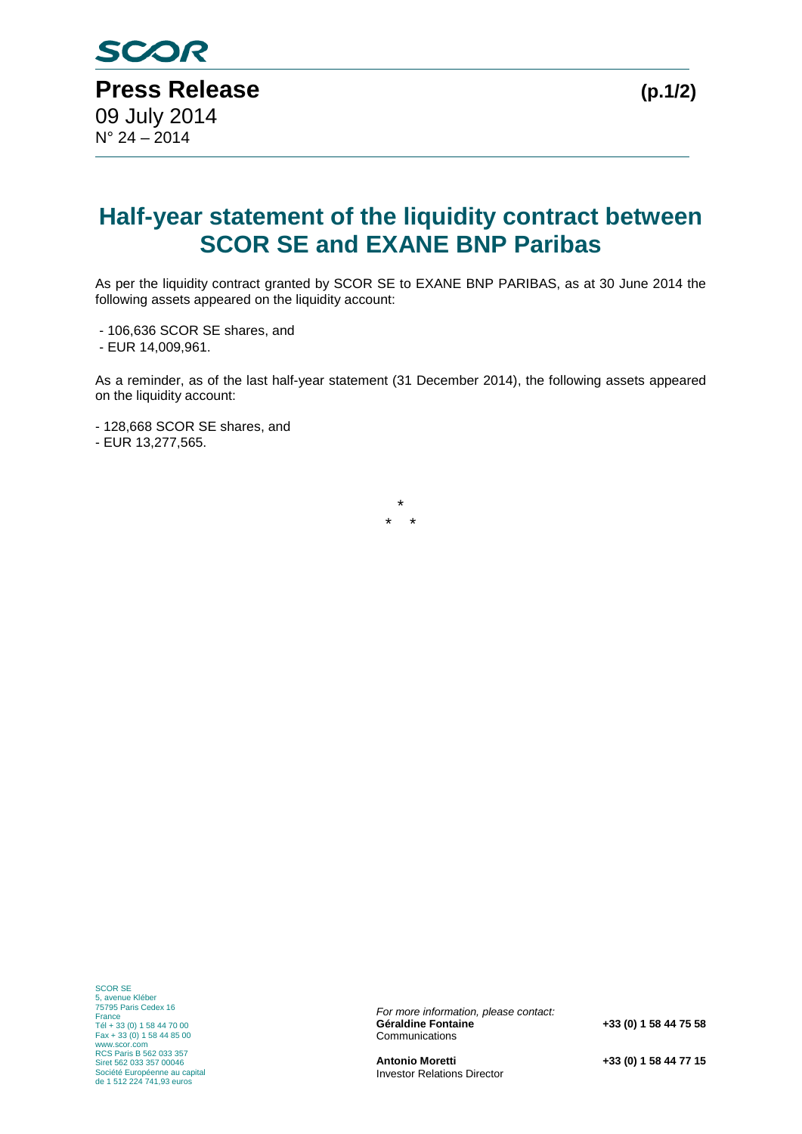## **Half-year statement of the liquidity contract between SCOR SE and EXANE BNP Paribas**

As per the liquidity contract granted by SCOR SE to EXANE BNP PARIBAS, as at 30 June 2014 the following assets appeared on the liquidity account:

- 106,636 SCOR SE shares, and

- EUR 14,009,961.

As a reminder, as of the last half-year statement (31 December 2014), the following assets appeared on the liquidity account:

- 128,668 SCOR SE shares, and

- EUR 13,277,565.

\* \* \*

*For more information, please contact:* Communications

**Antonio Moretti +33 (0) 1 58 44 77 15** Investor Relations Director